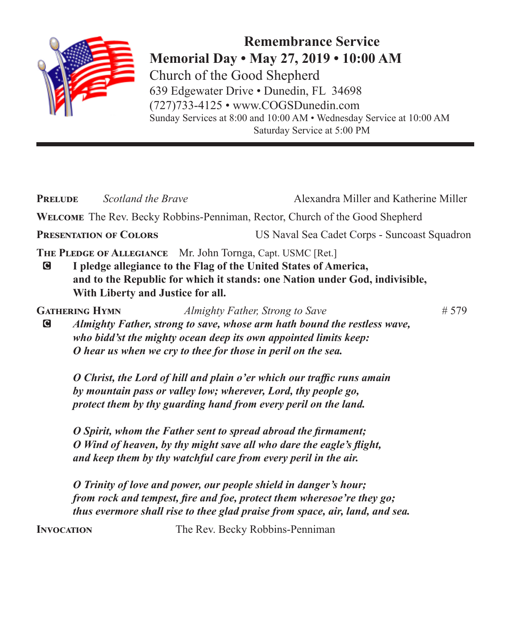

**Remembrance Service Memorial Day • May 27, 2019 • 10:00 AM** Church of the Good Shepherd 639 Edgewater Drive • Dunedin, FL 34698 (727)733-4125 • www.COGSDunedin.com Sunday Services at 8:00 and 10:00 AM • Wednesday Service at 10:00 AM Saturday Service at 5:00 PM

| Scotland the Brave<br><b>PRELUDE</b> |                                                                                                                                                                                                             | Alexandra Miller and Katherine Miller                                                                                                                                                                                      |  |  |
|--------------------------------------|-------------------------------------------------------------------------------------------------------------------------------------------------------------------------------------------------------------|----------------------------------------------------------------------------------------------------------------------------------------------------------------------------------------------------------------------------|--|--|
|                                      |                                                                                                                                                                                                             | WELCOME The Rev. Becky Robbins-Penniman, Rector, Church of the Good Shepherd                                                                                                                                               |  |  |
|                                      | <b>PRESENTATION OF COLORS</b>                                                                                                                                                                               | US Naval Sea Cadet Corps - Suncoast Squadron                                                                                                                                                                               |  |  |
| $\mathbf G$                          | THE PLEDGE OF ALLEGIANCE Mr. John Tornga, Capt. USMC [Ret.]<br>With Liberty and Justice for all.                                                                                                            | I pledge allegiance to the Flag of the United States of America,<br>and to the Republic for which it stands: one Nation under God, indivisible,                                                                            |  |  |
| G                                    | <b>GATHERING HYMN</b><br>O hear us when we cry to thee for those in peril on the sea.                                                                                                                       | # 579<br>Almighty Father, Strong to Save<br>Almighty Father, strong to save, whose arm hath bound the restless wave,<br>who bidd'st the mighty ocean deep its own appointed limits keep:                                   |  |  |
|                                      | O Christ, the Lord of hill and plain o'er which our traffic runs amain<br>by mountain pass or valley low; wherever, Lord, thy people go,<br>protect them by thy guarding hand from every peril on the land. |                                                                                                                                                                                                                            |  |  |
|                                      | O Spirit, whom the Father sent to spread abroad the firmament;<br>O Wind of heaven, by thy might save all who dare the eagle's flight,<br>and keep them by thy watchful care from every peril in the air.   |                                                                                                                                                                                                                            |  |  |
|                                      |                                                                                                                                                                                                             | O Trinity of love and power, our people shield in danger's hour;<br>from rock and tempest, fire and foe, protect them wheresoe're they go;<br>thus evermore shall rise to thee glad praise from space, air, land, and sea. |  |  |

**INVOCATION** The Rev. Becky Robbins-Penniman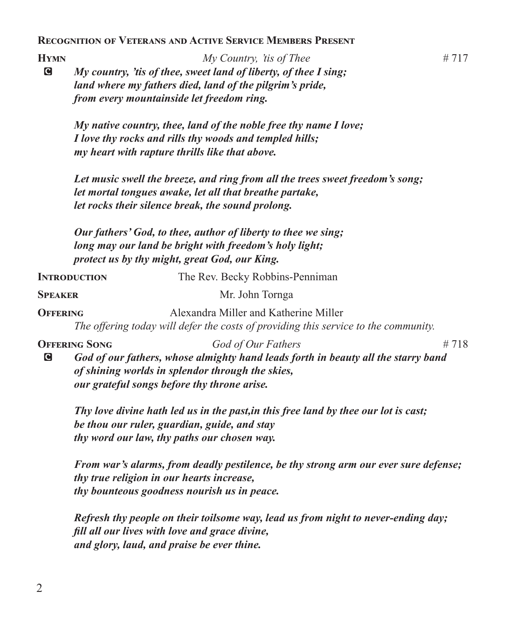**Recognition of Veterans and Active Service Members Present**

**Hymn** *My Country, 'tis of Thee* # 717 C *My country, 'tis of thee, sweet land of liberty, of thee I sing; land where my fathers died, land of the pilgrim's pride, from every mountainside let freedom ring.*

*My native country, thee, land of the noble free thy name I love; I love thy rocks and rills thy woods and templed hills; my heart with rapture thrills like that above.*

*Let music swell the breeze, and ring from all the trees sweet freedom's song; let mortal tongues awake, let all that breathe partake, let rocks their silence break, the sound prolong.*

*Our fathers' God, to thee, author of liberty to thee we sing; long may our land be bright with freedom's holy light; protect us by thy might, great God, our King.*

**INTRODUCTION** The Rev. Becky Robbins-Penniman **SPEAKER** Mr. John Tornga **OFFERING** Alexandra Miller and Katherine Miller *The offering today will defer the costs of providing this service to the community.* **OFFERING SONG** *God of Our Fathers* # 718 C *God of our fathers, whose almighty hand leads forth in beauty all the starry band of shining worlds in splendor through the skies, our grateful songs before thy throne arise. Thy love divine hath led us in the past,in this free land by thee our lot is cast;*

*be thou our ruler, guardian, guide, and stay thy word our law, thy paths our chosen way.*

*From war's alarms, from deadly pestilence, be thy strong arm our ever sure defense; thy true religion in our hearts increase, thy bounteous goodness nourish us in peace.*

*Refresh thy people on their toilsome way, lead us from night to never-ending day; fill all our lives with love and grace divine, and glory, laud, and praise be ever thine.*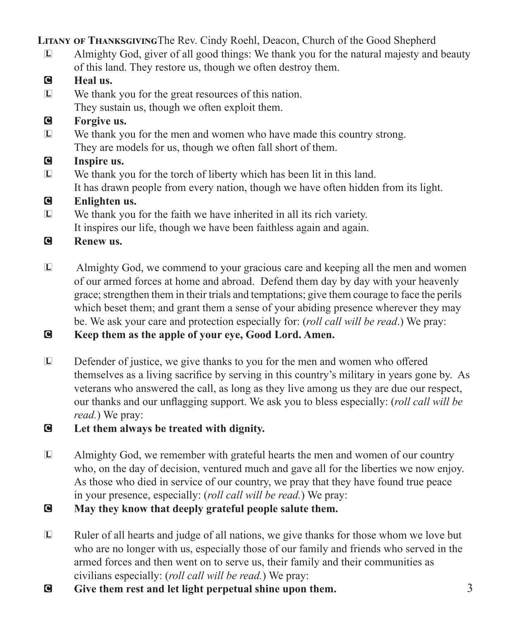**Litany of Thanksgiving**The Rev. Cindy Roehl, Deacon, Church of the Good Shepherd

- L Almighty God, giver of all good things: We thank you for the natural majesty and beauty of this land. They restore us, though we often destroy them.
- C **Heal us.**
- L We thank you for the great resources of this nation. They sustain us, though we often exploit them.
- C **Forgive us.**
- L We thank you for the men and women who have made this country strong. They are models for us, though we often fall short of them.
- C **Inspire us.**
- L We thank you for the torch of liberty which has been lit in this land.
	- It has drawn people from every nation, though we have often hidden from its light.
- C **Enlighten us.**
- L We thank you for the faith we have inherited in all its rich variety. It inspires our life, though we have been faithless again and again.
- C **Renew us.**
- L Almighty God, we commend to your gracious care and keeping all the men and women of our armed forces at home and abroad. Defend them day by day with your heavenly grace; strengthen them in their trials and temptations; give them courage to face the perils which beset them; and grant them a sense of your abiding presence wherever they may be. We ask your care and protection especially for: (*roll call will be read*.) We pray:
- C **Keep them as the apple of your eye, Good Lord. Amen.**
- L Defender of justice, we give thanks to you for the men and women who offered themselves as a living sacrifice by serving in this country's military in years gone by. As veterans who answered the call, as long as they live among us they are due our respect, our thanks and our unflagging support. We ask you to bless especially: (*roll call will be read.*) We pray:
- C **Let them always be treated with dignity.**
- L Almighty God, we remember with grateful hearts the men and women of our country who, on the day of decision, ventured much and gave all for the liberties we now enjoy. As those who died in service of our country, we pray that they have found true peace in your presence, especially: (*roll call will be read.*) We pray:
- C **May they know that deeply grateful people salute them.**
- L Ruler of all hearts and judge of all nations, we give thanks for those whom we love but who are no longer with us, especially those of our family and friends who served in the armed forces and then went on to serve us, their family and their communities as civilians especially: (*roll call will be read.*) We pray:
- C **Give them rest and let light perpetual shine upon them.**